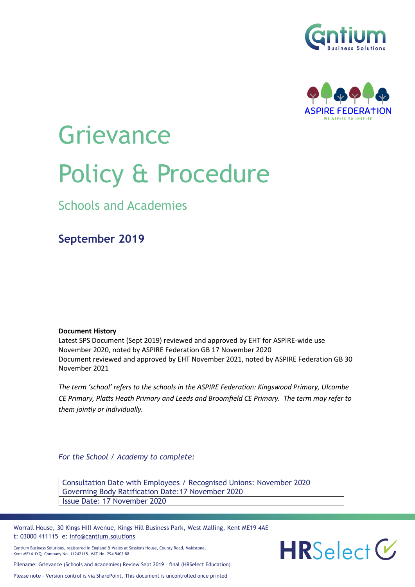



# **Grievance** Policy & Procedure

Schools and Academies

**September 2019**

**Document History**

Latest SPS Document (Sept 2019) reviewed and approved by EHT for ASPIRE-wide use November 2020, noted by ASPIRE Federation GB 17 November 2020 Document reviewed and approved by EHT November 2021, noted by ASPIRE Federation GB 30 November 2021

*The term 'school' refers to the schools in the ASPIRE Federation: Kingswood Primary, Ulcombe CE Primary, Platts Heath Primary and Leeds and Broomfield CE Primary. The term may refer to them jointly or individually.*

*For the School / Academy to complete:*

Consultation Date with Employees / Recognised Unions: November 2020 Governing Body Ratification Date:17 November 2020 Issue Date: 17 November 2020

Worrall House, 30 Kings Hill Avenue, Kings Hill Business Park, West Malling, Kent ME19 4AE t: 03000 411115 e: [info@cantium.solutions](mailto:info@cantium.solutions)

Cantium Business Solutions, registered in England & Wales at Sessions House, County Road, Maidstone, Kent ME14 1XQ. Company No. 11242115. VAT No. 294 5402 88.

 $HRS<sub>elect</sub> V$ 

Filename: Grievance (Schools and Academies) Review Sept 2019 – final (HRSelect Education)

Please note – Version control is via SharePoint. This document is uncontrolled once printed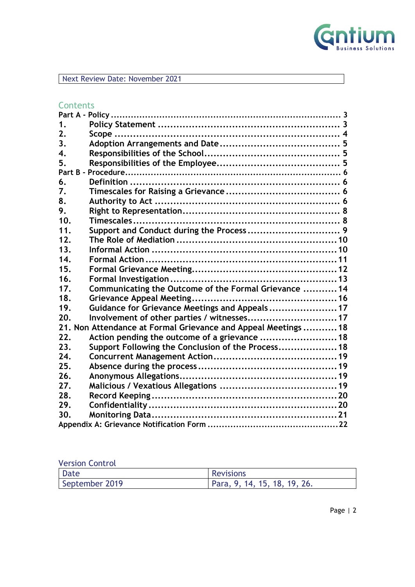

Next Review Date: November 2021

# **Contents**

| 1.  |                                                                |  |
|-----|----------------------------------------------------------------|--|
| 2.  |                                                                |  |
| 3.  |                                                                |  |
| 4.  |                                                                |  |
| 5.  |                                                                |  |
|     |                                                                |  |
| 6.  |                                                                |  |
| 7.  |                                                                |  |
| 8.  |                                                                |  |
| 9.  |                                                                |  |
| 10. |                                                                |  |
| 11. |                                                                |  |
| 12. |                                                                |  |
| 13. |                                                                |  |
| 14. |                                                                |  |
| 15. |                                                                |  |
| 16. |                                                                |  |
| 17. | Communicating the Outcome of the Formal Grievance  14          |  |
| 18. |                                                                |  |
| 19. | Guidance for Grievance Meetings and Appeals 17                 |  |
| 20. | Involvement of other parties / witnesses 17                    |  |
|     | 21. Non Attendance at Formal Grievance and Appeal Meetings  18 |  |
| 22. | Action pending the outcome of a grievance  18                  |  |
| 23. | Support Following the Conclusion of the Process 18             |  |
| 24. |                                                                |  |
| 25. |                                                                |  |
| 26. |                                                                |  |
| 27. |                                                                |  |
| 28. |                                                                |  |
| 29. |                                                                |  |
| 30. |                                                                |  |
|     |                                                                |  |

# Version Control

| <b>Date</b>    | <b>Revisions</b>             |
|----------------|------------------------------|
| September 2019 | Para, 9, 14, 15, 18, 19, 26. |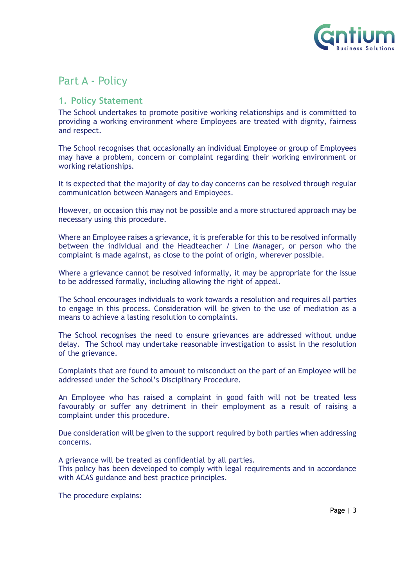

# <span id="page-2-0"></span>Part A - Policy

# <span id="page-2-1"></span>**1. Policy Statement**

The School undertakes to promote positive working relationships and is committed to providing a working environment where Employees are treated with dignity, fairness and respect.

The School recognises that occasionally an individual Employee or group of Employees may have a problem, concern or complaint regarding their working environment or working relationships.

It is expected that the majority of day to day concerns can be resolved through regular communication between Managers and Employees.

However, on occasion this may not be possible and a more structured approach may be necessary using this procedure.

Where an Employee raises a grievance, it is preferable for this to be resolved informally between the individual and the Headteacher / Line Manager, or person who the complaint is made against, as close to the point of origin, wherever possible.

Where a grievance cannot be resolved informally, it may be appropriate for the issue to be addressed formally, including allowing the right of appeal.

The School encourages individuals to work towards a resolution and requires all parties to engage in this process. Consideration will be given to the use of mediation as a means to achieve a lasting resolution to complaints.

The School recognises the need to ensure grievances are addressed without undue delay. The School may undertake reasonable investigation to assist in the resolution of the grievance.

Complaints that are found to amount to misconduct on the part of an Employee will be addressed under the School's Disciplinary Procedure.

An Employee who has raised a complaint in good faith will not be treated less favourably or suffer any detriment in their employment as a result of raising a complaint under this procedure.

Due consideration will be given to the support required by both parties when addressing concerns.

A grievance will be treated as confidential by all parties.

This policy has been developed to comply with legal requirements and in accordance with ACAS guidance and best practice principles.

The procedure explains: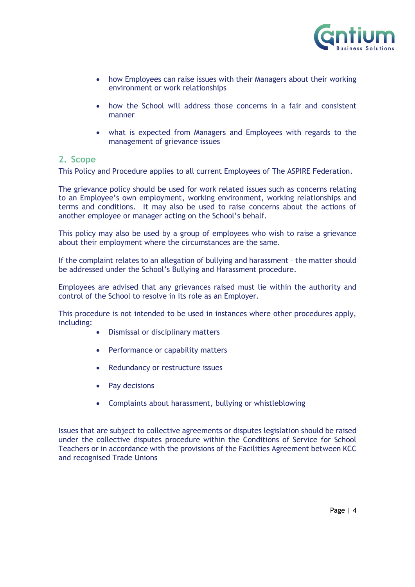

- how Employees can raise issues with their Managers about their working environment or work relationships
- how the School will address those concerns in a fair and consistent manner
- what is expected from Managers and Employees with regards to the management of grievance issues

#### <span id="page-3-0"></span>**2. Scope**

This Policy and Procedure applies to all current Employees of The ASPIRE Federation.

The grievance policy should be used for work related issues such as concerns relating to an Employee's own employment, working environment, working relationships and terms and conditions. It may also be used to raise concerns about the actions of another employee or manager acting on the School's behalf.

This policy may also be used by a group of employees who wish to raise a grievance about their employment where the circumstances are the same.

If the complaint relates to an allegation of bullying and harassment – the matter should be addressed under the School's Bullying and Harassment procedure.

Employees are advised that any grievances raised must lie within the authority and control of the School to resolve in its role as an Employer.

This procedure is not intended to be used in instances where other procedures apply, including:

- Dismissal or disciplinary matters
- Performance or capability matters
- Redundancy or restructure issues
- Pay decisions
- Complaints about harassment, bullying or whistleblowing

Issues that are subject to collective agreements or disputes legislation should be raised under the collective disputes procedure within the Conditions of Service for School Teachers or in accordance with the provisions of the Facilities Agreement between KCC and recognised Trade Unions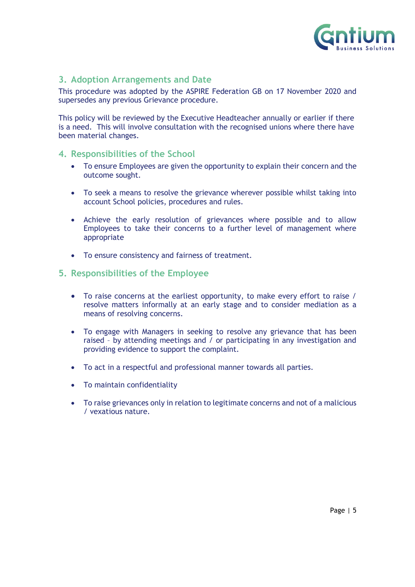

# <span id="page-4-0"></span>**3. Adoption Arrangements and Date**

This procedure was adopted by the ASPIRE Federation GB on 17 November 2020 and supersedes any previous Grievance procedure.

This policy will be reviewed by the Executive Headteacher annually or earlier if there is a need. This will involve consultation with the recognised unions where there have been material changes.

# <span id="page-4-1"></span>**4. Responsibilities of the School**

- To ensure Employees are given the opportunity to explain their concern and the outcome sought.
- To seek a means to resolve the grievance wherever possible whilst taking into account School policies, procedures and rules.
- Achieve the early resolution of grievances where possible and to allow Employees to take their concerns to a further level of management where appropriate
- To ensure consistency and fairness of treatment.

# <span id="page-4-2"></span>**5. Responsibilities of the Employee**

- To raise concerns at the earliest opportunity, to make every effort to raise / resolve matters informally at an early stage and to consider mediation as a means of resolving concerns.
- To engage with Managers in seeking to resolve any grievance that has been raised – by attending meetings and / or participating in any investigation and providing evidence to support the complaint.
- To act in a respectful and professional manner towards all parties.
- To maintain confidentiality
- To raise grievances only in relation to legitimate concerns and not of a malicious / vexatious nature.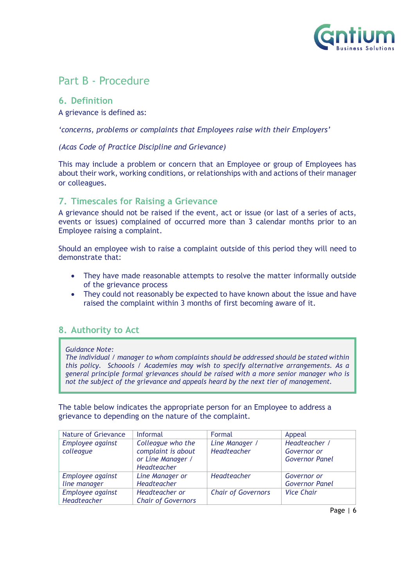

# <span id="page-5-0"></span>Part B - Procedure

# <span id="page-5-1"></span>**6. Definition**

A grievance is defined as:

*'concerns, problems or complaints that Employees raise with their Employers'* 

#### *(Acas Code of Practice Discipline and Grievance)*

This may include a problem or concern that an Employee or group of Employees has about their work, working conditions, or relationships with and actions of their manager or colleagues.

# <span id="page-5-2"></span>**7. Timescales for Raising a Grievance**

A grievance should not be raised if the event, act or issue (or last of a series of acts, events or issues) complained of occurred more than 3 calendar months prior to an Employee raising a complaint.

Should an employee wish to raise a complaint outside of this period they will need to demonstrate that:

- They have made reasonable attempts to resolve the matter informally outside of the grievance process
- They could not reasonably be expected to have known about the issue and have raised the complaint within 3 months of first becoming aware of it.

# <span id="page-5-3"></span>**8. Authority to Act**

#### *Guidance Note:*

*The individual / manager to whom complaints should be addressed should be stated within this policy. Schoools / Academies may wish to specify alternative arrangements. As a general principle formal grievances should be raised with a more senior manager who is not the subject of the grievance and appeals heard by the next tier of management.*

The table below indicates the appropriate person for an Employee to address a grievance to depending on the nature of the complaint.

| Nature of Grievance | Informal                  | Formal                    | Appeal                |
|---------------------|---------------------------|---------------------------|-----------------------|
| Employee against    | Colleague who the         | Line Manager /            | Headteacher /         |
| colleague           | complaint is about        | Headteacher               | Governor or           |
|                     | or Line Manager /         |                           | <b>Governor Panel</b> |
|                     | <b>Headteacher</b>        |                           |                       |
| Employee against    | Line Manager or           | Headteacher               | Governor or           |
| line manager        | Headteacher               |                           | <b>Governor Panel</b> |
| Employee against    | Headteacher or            | <b>Chair of Governors</b> | <b>Vice Chair</b>     |
| Headteacher         | <b>Chair of Governors</b> |                           |                       |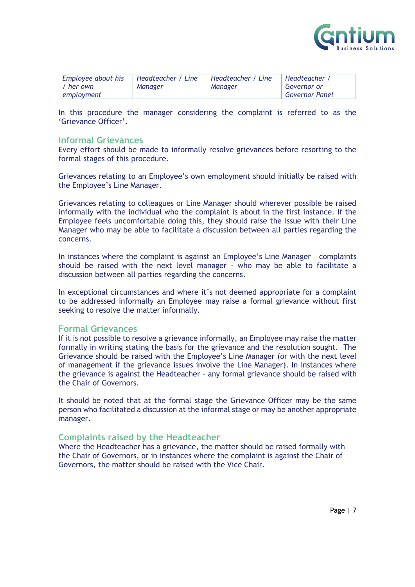

| Employee about his | 'Headteacher / Line | Headteacher / Line | Headteacher /         |
|--------------------|---------------------|--------------------|-----------------------|
| / her own          | Manager             | Manager            | Governor or           |
| employment         |                     |                    | <b>Governor Panel</b> |

In this procedure the manager considering the complaint is referred to as the 'Grievance Officer'.

#### **Informal Grievances**

Every effort should be made to informally resolve grievances before resorting to the formal stages of this procedure.

Grievances relating to an Employee's own employment should initially be raised with the Employee's Line Manager.

Grievances relating to colleagues or Line Manager should wherever possible be raised informally with the individual who the complaint is about in the first instance. If the Employee feels uncomfortable doing this, they should raise the issue with their Line Manager who may be able to facilitate a discussion between all parties regarding the concerns.

In instances where the complaint is against an Employee's Line Manager – complaints should be raised with the next level manager - who may be able to facilitate a discussion between all parties regarding the concerns.

In exceptional circumstances and where it's not deemed appropriate for a complaint to be addressed informally an Employee may raise a formal grievance without first seeking to resolve the matter informally.

#### **Formal Grievances**

If it is not possible to resolve a grievance informally, an Employee may raise the matter formally in writing stating the basis for the grievance and the resolution sought. The Grievance should be raised with the Employee's Line Manager (or with the next level of management if the grievance issues involve the Line Manager). In instances where the grievance is against the Headteacher – any formal grievance should be raised with the Chair of Governors.

It should be noted that at the formal stage the Grievance Officer may be the same person who facilitated a discussion at the informal stage or may be another appropriate manager.

#### **Complaints raised by the Headteacher**

Where the Headteacher has a grievance, the matter should be raised formally with the Chair of Governors, or in instances where the complaint is against the Chair of Governors, the matter should be raised with the Vice Chair.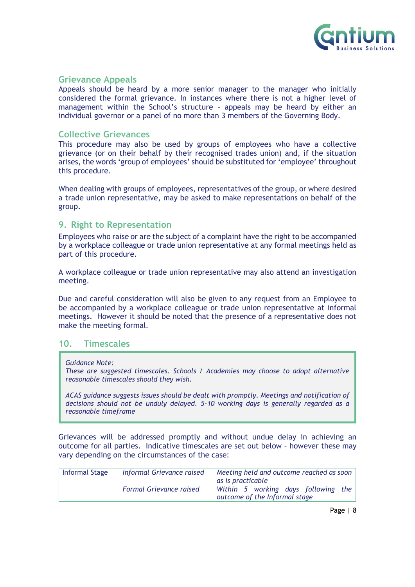

#### **Grievance Appeals**

Appeals should be heard by a more senior manager to the manager who initially considered the formal grievance. In instances where there is not a higher level of management within the School's structure – appeals may be heard by either an individual governor or a panel of no more than 3 members of the Governing Body.

#### **Collective Grievances**

This procedure may also be used by groups of employees who have a collective grievance (or on their behalf by their recognised trades union) and, if the situation arises, the words 'group of employees' should be substituted for 'employee' throughout this procedure.

When dealing with groups of employees, representatives of the group, or where desired a trade union representative, may be asked to make representations on behalf of the group.

#### <span id="page-7-0"></span>**9. Right to Representation**

Employees who raise or are the subject of a complaint have the right to be accompanied by a workplace colleague or trade union representative at any formal meetings held as part of this procedure.

A workplace colleague or trade union representative may also attend an investigation meeting.

Due and careful consideration will also be given to any request from an Employee to be accompanied by a workplace colleague or trade union representative at informal meetings. However it should be noted that the presence of a representative does not make the meeting formal.

#### <span id="page-7-1"></span>**10. Timescales**

#### *Guidance Note:*

*These are suggested timescales. Schools / Academies may choose to adopt alternative reasonable timescales should they wish.*

*ACAS guidance suggests issues should be dealt with promptly. Meetings and notification of decisions should not be unduly delayed. 5-10 working days is generally regarded as a reasonable timeframe*

Grievances will be addressed promptly and without undue delay in achieving an outcome for all parties. Indicative timescales are set out below – however these may vary depending on the circumstances of the case:

| <b>Informal Stage</b> | Informal Grievance raised      | $\perp$ Meeting held and outcome reached as soon $\parallel$<br>as is practicable |  |
|-----------------------|--------------------------------|-----------------------------------------------------------------------------------|--|
|                       | <b>Formal Grievance raised</b> | Within 5 working days following the<br>outcome of the Informal stage              |  |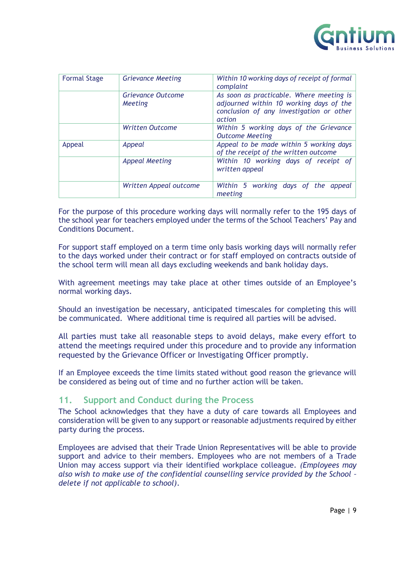

| <b>Formal Stage</b> | <b>Grievance Meeting</b>                   | Within 10 working days of receipt of formal<br>complaint                                                                                  |  |
|---------------------|--------------------------------------------|-------------------------------------------------------------------------------------------------------------------------------------------|--|
|                     | <b>Grievance Outcome</b><br><b>Meeting</b> | As soon as practicable. Where meeting is<br>adjourned within 10 working days of the<br>conclusion of any investigation or other<br>action |  |
|                     | <b>Written Outcome</b>                     | Within 5 working days of the Grievance<br><b>Outcome Meeting</b>                                                                          |  |
| Appeal<br>Appeal    |                                            | Appeal to be made within 5 working days<br>of the receipt of the written outcome                                                          |  |
|                     | Appeal Meeting                             | Within 10 working days of receipt of<br>written appeal                                                                                    |  |
|                     | Written Appeal outcome                     | Within 5 working days of the appeal<br>meeting                                                                                            |  |

For the purpose of this procedure working days will normally refer to the 195 days of the school year for teachers employed under the terms of the School Teachers' Pay and Conditions Document.

For support staff employed on a term time only basis working days will normally refer to the days worked under their contract or for staff employed on contracts outside of the school term will mean all days excluding weekends and bank holiday days.

With agreement meetings may take place at other times outside of an Employee's normal working days.

Should an investigation be necessary, anticipated timescales for completing this will be communicated. Where additional time is required all parties will be advised.

All parties must take all reasonable steps to avoid delays, make every effort to attend the meetings required under this procedure and to provide any information requested by the Grievance Officer or Investigating Officer promptly.

If an Employee exceeds the time limits stated without good reason the grievance will be considered as being out of time and no further action will be taken.

# <span id="page-8-0"></span>**11. Support and Conduct during the Process**

The School acknowledges that they have a duty of care towards all Employees and consideration will be given to any support or reasonable adjustments required by either party during the process.

Employees are advised that their Trade Union Representatives will be able to provide support and advice to their members. Employees who are not members of a Trade Union may access support via their identified workplace colleague. *(Employees may also wish to make use of the confidential counselling service provided by the School – delete if not applicable to school)*.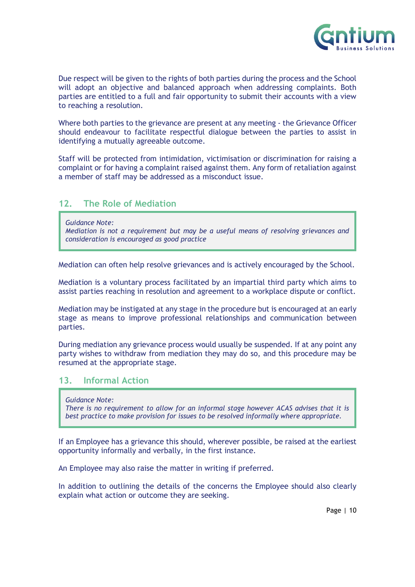

Due respect will be given to the rights of both parties during the process and the School will adopt an objective and balanced approach when addressing complaints. Both parties are entitled to a full and fair opportunity to submit their accounts with a view to reaching a resolution.

Where both parties to the grievance are present at any meeting - the Grievance Officer should endeavour to facilitate respectful dialogue between the parties to assist in identifying a mutually agreeable outcome.

Staff will be protected from intimidation, victimisation or discrimination for raising a complaint or for having a complaint raised against them. Any form of retaliation against a member of staff may be addressed as a misconduct issue.

# <span id="page-9-0"></span>**12. The Role of Mediation**

*Guidance Note:*

*Mediation is not a requirement but may be a useful means of resolving grievances and consideration is encouraged as good practice*

Mediation can often help resolve grievances and is actively encouraged by the School.

Mediation is a voluntary process facilitated by an impartial third party which aims to assist parties reaching in resolution and agreement to a workplace dispute or conflict.

Mediation may be instigated at any stage in the procedure but is encouraged at an early stage as means to improve professional relationships and communication between parties.

During mediation any grievance process would usually be suspended. If at any point any party wishes to withdraw from mediation they may do so, and this procedure may be resumed at the appropriate stage.

# <span id="page-9-1"></span>**13. Informal Action**

*Guidance Note:*

*There is no requirement to allow for an informal stage however ACAS advises that it is best practice to make provision for issues to be resolved informally where appropriate.*

If an Employee has a grievance this should, wherever possible, be raised at the earliest opportunity informally and verbally, in the first instance.

An Employee may also raise the matter in writing if preferred.

In addition to outlining the details of the concerns the Employee should also clearly explain what action or outcome they are seeking.

Page | 10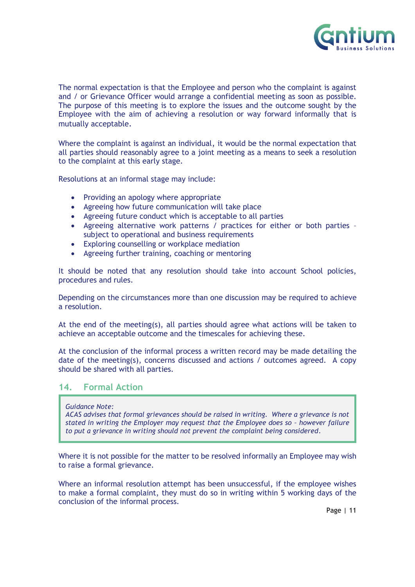

The normal expectation is that the Employee and person who the complaint is against and / or Grievance Officer would arrange a confidential meeting as soon as possible. The purpose of this meeting is to explore the issues and the outcome sought by the Employee with the aim of achieving a resolution or way forward informally that is mutually acceptable.

Where the complaint is against an individual, it would be the normal expectation that all parties should reasonably agree to a joint meeting as a means to seek a resolution to the complaint at this early stage.

Resolutions at an informal stage may include:

- Providing an apology where appropriate
- Agreeing how future communication will take place
- Agreeing future conduct which is acceptable to all parties
- Agreeing alternative work patterns / practices for either or both parties subject to operational and business requirements
- Exploring counselling or workplace mediation
- Agreeing further training, coaching or mentoring

It should be noted that any resolution should take into account School policies, procedures and rules.

Depending on the circumstances more than one discussion may be required to achieve a resolution.

At the end of the meeting(s), all parties should agree what actions will be taken to achieve an acceptable outcome and the timescales for achieving these.

At the conclusion of the informal process a written record may be made detailing the date of the meeting(s), concerns discussed and actions / outcomes agreed. A copy should be shared with all parties.

# <span id="page-10-0"></span>**14. Formal Action**

#### *Guidance Note:*

*ACAS advises that formal grievances should be raised in writing. Where a grievance is not stated in writing the Employer may request that the Employee does so – however failure to put a grievance in writing should not prevent the complaint being considered*.

Where it is not possible for the matter to be resolved informally an Employee may wish to raise a formal grievance.

Where an informal resolution attempt has been unsuccessful, if the employee wishes to make a formal complaint, they must do so in writing within 5 working days of the conclusion of the informal process.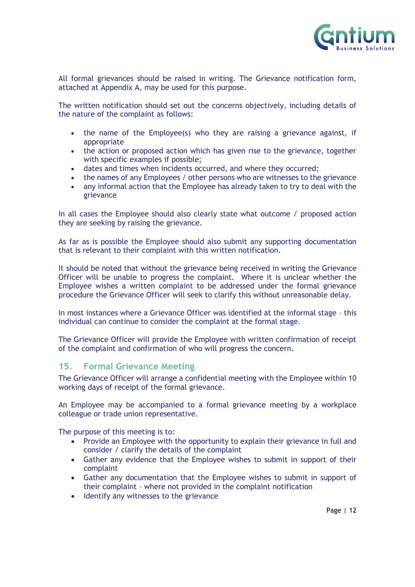

All formal grievances should be raised in writing. The Grievance notification form, attached at Appendix A, may be used for this purpose.

The written notification should set out the concerns objectively, including details of the nature of the complaint as follows:

- the name of the Employee(s) who they are raising a grievance against, if appropriate
- the action or proposed action which has given rise to the grievance, together with specific examples if possible;
- dates and times when incidents occurred, and where they occurred;
- the names of any Employees / other persons who are witnesses to the grievance
- any informal action that the Employee has already taken to try to deal with the grievance

In all cases the Employee should also clearly state what outcome / proposed action they are seeking by raising the grievance.

As far as is possible the Employee should also submit any supporting documentation that is relevant to their complaint with this written notification.

It should be noted that without the grievance being received in writing the Grievance Officer will be unable to progress the complaint. Where it is unclear whether the Employee wishes a written complaint to be addressed under the formal grievance procedure the Grievance Officer will seek to clarify this without unreasonable delay.

In most instances where a Grievance Officer was identified at the informal stage – this individual can continue to consider the complaint at the formal stage.

The Grievance Officer will provide the Employee with written confirmation of receipt of the complaint and confirmation of who will progress the concern.

#### <span id="page-11-0"></span>**15. Formal Grievance Meeting**

The Grievance Officer will arrange a confidential meeting with the Employee within 10 working days of receipt of the formal grievance.

An Employee may be accompanied to a formal grievance meeting by a workplace colleague or trade union representative.

The purpose of this meeting is to:

- Provide an Employee with the opportunity to explain their grievance in full and consider / clarify the details of the complaint
- Gather any evidence that the Employee wishes to submit in support of their complaint
- Gather any documentation that the Employee wishes to submit in support of their complaint – where not provided in the complaint notification
- Identify any witnesses to the grievance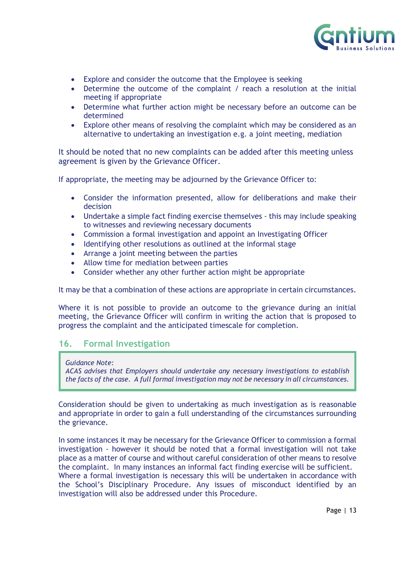

- Explore and consider the outcome that the Employee is seeking
- Determine the outcome of the complaint / reach a resolution at the initial meeting if appropriate
- Determine what further action might be necessary before an outcome can be determined
- Explore other means of resolving the complaint which may be considered as an alternative to undertaking an investigation e.g. a joint meeting, mediation

It should be noted that no new complaints can be added after this meeting unless agreement is given by the Grievance Officer.

If appropriate, the meeting may be adjourned by the Grievance Officer to:

- Consider the information presented, allow for deliberations and make their decision
- Undertake a simple fact finding exercise themselves this may include speaking to witnesses and reviewing necessary documents
- Commission a formal investigation and appoint an Investigating Officer
- Identifying other resolutions as outlined at the informal stage
- Arrange a joint meeting between the parties
- Allow time for mediation between parties
- Consider whether any other further action might be appropriate

It may be that a combination of these actions are appropriate in certain circumstances.

Where it is not possible to provide an outcome to the grievance during an initial meeting, the Grievance Officer will confirm in writing the action that is proposed to progress the complaint and the anticipated timescale for completion.

# <span id="page-12-0"></span>**16. Formal Investigation**

*Guidance Note:*

*ACAS advises that Employers should undertake any necessary investigations to establish the facts of the case. A full formal investigation may not be necessary in all circumstances.*

Consideration should be given to undertaking as much investigation as is reasonable and appropriate in order to gain a full understanding of the circumstances surrounding the grievance.

In some instances it may be necessary for the Grievance Officer to commission a formal investigation - however it should be noted that a formal investigation will not take place as a matter of course and without careful consideration of other means to resolve the complaint. In many instances an informal fact finding exercise will be sufficient. Where a formal investigation is necessary this will be undertaken in accordance with the School's Disciplinary Procedure. Any issues of misconduct identified by an investigation will also be addressed under this Procedure.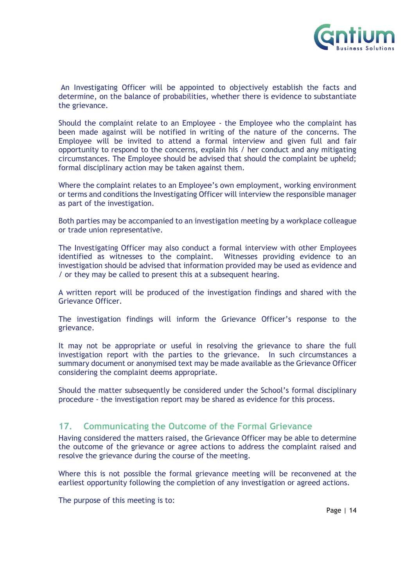

An Investigating Officer will be appointed to objectively establish the facts and determine, on the balance of probabilities, whether there is evidence to substantiate the grievance.

Should the complaint relate to an Employee - the Employee who the complaint has been made against will be notified in writing of the nature of the concerns. The Employee will be invited to attend a formal interview and given full and fair opportunity to respond to the concerns, explain his / her conduct and any mitigating circumstances. The Employee should be advised that should the complaint be upheld; formal disciplinary action may be taken against them.

Where the complaint relates to an Employee's own employment, working environment or terms and conditions the Investigating Officer will interview the responsible manager as part of the investigation.

Both parties may be accompanied to an investigation meeting by a workplace colleague or trade union representative.

The Investigating Officer may also conduct a formal interview with other Employees identified as witnesses to the complaint. Witnesses providing evidence to an investigation should be advised that information provided may be used as evidence and / or they may be called to present this at a subsequent hearing.

A written report will be produced of the investigation findings and shared with the Grievance Officer.

The investigation findings will inform the Grievance Officer's response to the grievance.

It may not be appropriate or useful in resolving the grievance to share the full investigation report with the parties to the grievance. In such circumstances a summary document or anonymised text may be made available as the Grievance Officer considering the complaint deems appropriate.

Should the matter subsequently be considered under the School's formal disciplinary procedure - the investigation report may be shared as evidence for this process.

# <span id="page-13-0"></span>**17. Communicating the Outcome of the Formal Grievance**

Having considered the matters raised, the Grievance Officer may be able to determine the outcome of the grievance or agree actions to address the complaint raised and resolve the grievance during the course of the meeting.

Where this is not possible the formal grievance meeting will be reconvened at the earliest opportunity following the completion of any investigation or agreed actions.

The purpose of this meeting is to: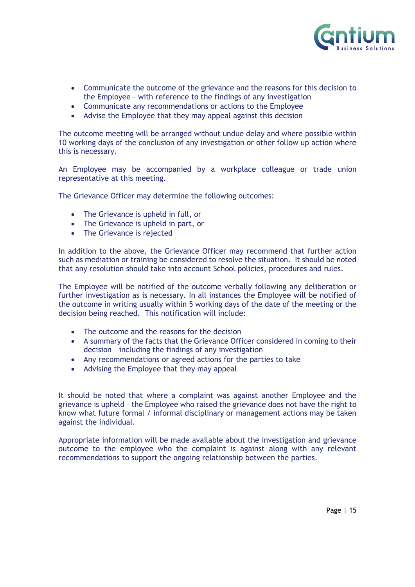

- Communicate the outcome of the grievance and the reasons for this decision to the Employee – with reference to the findings of any investigation
- Communicate any recommendations or actions to the Employee
- Advise the Employee that they may appeal against this decision

The outcome meeting will be arranged without undue delay and where possible within 10 working days of the conclusion of any investigation or other follow up action where this is necessary.

An Employee may be accompanied by a workplace colleague or trade union representative at this meeting.

The Grievance Officer may determine the following outcomes:

- The Grievance is upheld in full, or
- The Grievance is upheld in part, or
- The Grievance is rejected

In addition to the above, the Grievance Officer may recommend that further action such as mediation or training be considered to resolve the situation. It should be noted that any resolution should take into account School policies, procedures and rules.

The Employee will be notified of the outcome verbally following any deliberation or further investigation as is necessary. In all instances the Employee will be notified of the outcome in writing usually within 5 working days of the date of the meeting or the decision being reached. This notification will include:

- The outcome and the reasons for the decision
- A summary of the facts that the Grievance Officer considered in coming to their decision – including the findings of any investigation
- Any recommendations or agreed actions for the parties to take
- Advising the Employee that they may appeal

It should be noted that where a complaint was against another Employee and the grievance is upheld – the Employee who raised the grievance does not have the right to know what future formal / informal disciplinary or management actions may be taken against the individual.

Appropriate information will be made available about the investigation and grievance outcome to the employee who the complaint is against along with any relevant recommendations to support the ongoing relationship between the parties.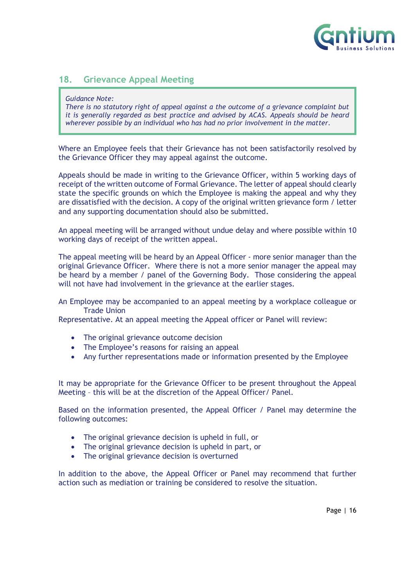

# <span id="page-15-0"></span>**18. Grievance Appeal Meeting**

#### *Guidance Note:*

*There is no statutory right of appeal against a the outcome of a grievance complaint but it is generally regarded as best practice and advised by ACAS. Appeals should be heard wherever possible by an individual who has had no prior involvement in the matter.*

Where an Employee feels that their Grievance has not been satisfactorily resolved by the Grievance Officer they may appeal against the outcome.

Appeals should be made in writing to the Grievance Officer, within 5 working days of receipt of the written outcome of Formal Grievance. The letter of appeal should clearly state the specific grounds on which the Employee is making the appeal and why they are dissatisfied with the decision. A copy of the original written grievance form / letter and any supporting documentation should also be submitted.

An appeal meeting will be arranged without undue delay and where possible within 10 working days of receipt of the written appeal.

The appeal meeting will be heard by an Appeal Officer - more senior manager than the original Grievance Officer. Where there is not a more senior manager the appeal may be heard by a member / panel of the Governing Body. Those considering the appeal will not have had involvement in the grievance at the earlier stages.

An Employee may be accompanied to an appeal meeting by a workplace colleague or Trade Union

Representative. At an appeal meeting the Appeal officer or Panel will review:

- The original grievance outcome decision
- The Employee's reasons for raising an appeal
- Any further representations made or information presented by the Employee

It may be appropriate for the Grievance Officer to be present throughout the Appeal Meeting – this will be at the discretion of the Appeal Officer/ Panel.

Based on the information presented, the Appeal Officer / Panel may determine the following outcomes:

- The original grievance decision is upheld in full, or
- The original grievance decision is upheld in part, or
- The original grievance decision is overturned

In addition to the above, the Appeal Officer or Panel may recommend that further action such as mediation or training be considered to resolve the situation.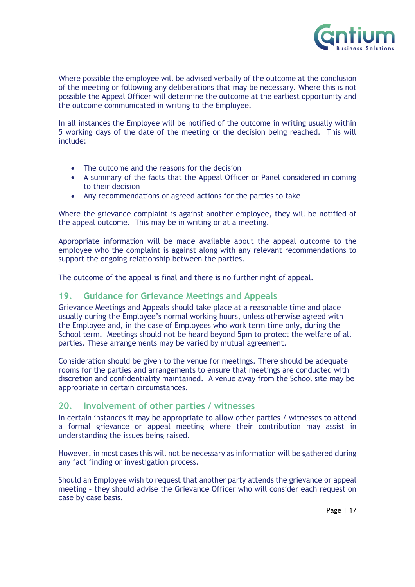

Where possible the employee will be advised verbally of the outcome at the conclusion of the meeting or following any deliberations that may be necessary. Where this is not possible the Appeal Officer will determine the outcome at the earliest opportunity and the outcome communicated in writing to the Employee.

In all instances the Employee will be notified of the outcome in writing usually within 5 working days of the date of the meeting or the decision being reached. This will include:

- The outcome and the reasons for the decision
- A summary of the facts that the Appeal Officer or Panel considered in coming to their decision
- Any recommendations or agreed actions for the parties to take

Where the grievance complaint is against another employee, they will be notified of the appeal outcome. This may be in writing or at a meeting.

Appropriate information will be made available about the appeal outcome to the employee who the complaint is against along with any relevant recommendations to support the ongoing relationship between the parties.

<span id="page-16-0"></span>The outcome of the appeal is final and there is no further right of appeal.

#### **19. Guidance for Grievance Meetings and Appeals**

Grievance Meetings and Appeals should take place at a reasonable time and place usually during the Employee's normal working hours, unless otherwise agreed with the Employee and, in the case of Employees who work term time only, during the School term. Meetings should not be heard beyond 5pm to protect the welfare of all parties. These arrangements may be varied by mutual agreement.

Consideration should be given to the venue for meetings. There should be adequate rooms for the parties and arrangements to ensure that meetings are conducted with discretion and confidentiality maintained. A venue away from the School site may be appropriate in certain circumstances.

# <span id="page-16-1"></span>**20. Involvement of other parties / witnesses**

In certain instances it may be appropriate to allow other parties / witnesses to attend a formal grievance or appeal meeting where their contribution may assist in understanding the issues being raised.

However, in most cases this will not be necessary as information will be gathered during any fact finding or investigation process.

Should an Employee wish to request that another party attends the grievance or appeal meeting – they should advise the Grievance Officer who will consider each request on case by case basis.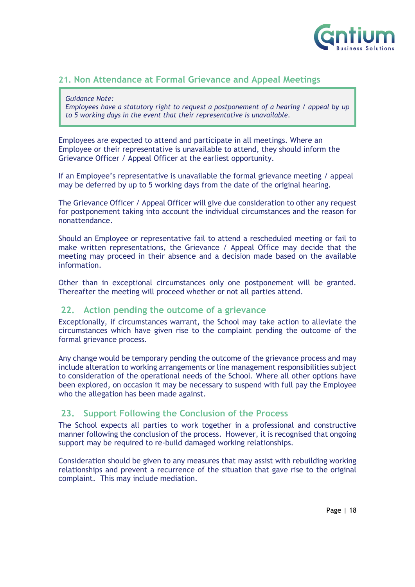

# <span id="page-17-0"></span>**21. Non Attendance at Formal Grievance and Appeal Meetings**

#### *Guidance Note:*

*Employees have a statutory right to request a postponement of a hearing / appeal by up to 5 working days in the event that their representative is unavailable.*

Employees are expected to attend and participate in all meetings. Where an Employee or their representative is unavailable to attend, they should inform the Grievance Officer / Appeal Officer at the earliest opportunity.

If an Employee's representative is unavailable the formal grievance meeting / appeal may be deferred by up to 5 working days from the date of the original hearing.

The Grievance Officer / Appeal Officer will give due consideration to other any request for postponement taking into account the individual circumstances and the reason for nonattendance.

Should an Employee or representative fail to attend a rescheduled meeting or fail to make written representations, the Grievance / Appeal Office may decide that the meeting may proceed in their absence and a decision made based on the available information.

Other than in exceptional circumstances only one postponement will be granted. Thereafter the meeting will proceed whether or not all parties attend.

# <span id="page-17-1"></span>**22. Action pending the outcome of a grievance**

Exceptionally, if circumstances warrant, the School may take action to alleviate the circumstances which have given rise to the complaint pending the outcome of the formal grievance process.

Any change would be temporary pending the outcome of the grievance process and may include alteration to working arrangements or line management responsibilities subject to consideration of the operational needs of the School. Where all other options have been explored, on occasion it may be necessary to suspend with full pay the Employee who the allegation has been made against.

# <span id="page-17-2"></span>**23. Support Following the Conclusion of the Process**

The School expects all parties to work together in a professional and constructive manner following the conclusion of the process. However, it is recognised that ongoing support may be required to re-build damaged working relationships.

Consideration should be given to any measures that may assist with rebuilding working relationships and prevent a recurrence of the situation that gave rise to the original complaint. This may include mediation.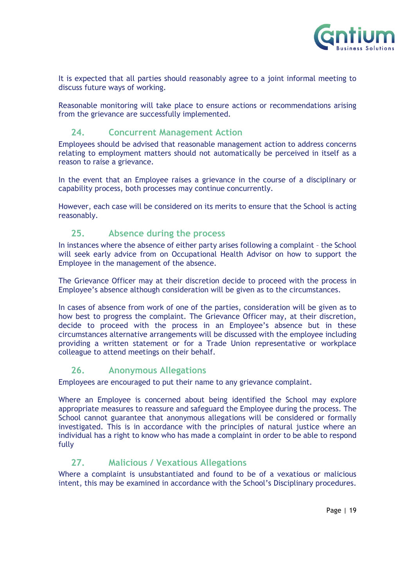

It is expected that all parties should reasonably agree to a joint informal meeting to discuss future ways of working.

Reasonable monitoring will take place to ensure actions or recommendations arising from the grievance are successfully implemented.

#### <span id="page-18-0"></span>**24. Concurrent Management Action**

Employees should be advised that reasonable management action to address concerns relating to employment matters should not automatically be perceived in itself as a reason to raise a grievance.

In the event that an Employee raises a grievance in the course of a disciplinary or capability process, both processes may continue concurrently.

However, each case will be considered on its merits to ensure that the School is acting reasonably.

# <span id="page-18-1"></span>**25. Absence during the process**

In instances where the absence of either party arises following a complaint – the School will seek early advice from on Occupational Health Advisor on how to support the Employee in the management of the absence.

The Grievance Officer may at their discretion decide to proceed with the process in Employee's absence although consideration will be given as to the circumstances.

In cases of absence from work of one of the parties, consideration will be given as to how best to progress the complaint. The Grievance Officer may, at their discretion, decide to proceed with the process in an Employee's absence but in these circumstances alternative arrangements will be discussed with the employee including providing a written statement or for a Trade Union representative or workplace colleague to attend meetings on their behalf.

#### <span id="page-18-2"></span>**26. Anonymous Allegations**

Employees are encouraged to put their name to any grievance complaint.

Where an Employee is concerned about being identified the School may explore appropriate measures to reassure and safeguard the Employee during the process. The School cannot guarantee that anonymous allegations will be considered or formally investigated. This is in accordance with the principles of natural justice where an individual has a right to know who has made a complaint in order to be able to respond fully

# <span id="page-18-3"></span>**27. Malicious / Vexatious Allegations**

Where a complaint is unsubstantiated and found to be of a vexatious or malicious intent, this may be examined in accordance with the School's Disciplinary procedures.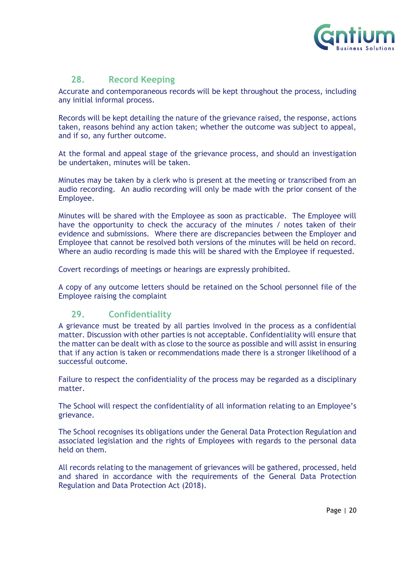

# **28. Record Keeping**

<span id="page-19-0"></span>Accurate and contemporaneous records will be kept throughout the process, including any initial informal process.

Records will be kept detailing the nature of the grievance raised, the response, actions taken, reasons behind any action taken; whether the outcome was subject to appeal, and if so, any further outcome.

At the formal and appeal stage of the grievance process, and should an investigation be undertaken, minutes will be taken.

Minutes may be taken by a clerk who is present at the meeting or transcribed from an audio recording. An audio recording will only be made with the prior consent of the Employee.

Minutes will be shared with the Employee as soon as practicable. The Employee will have the opportunity to check the accuracy of the minutes / notes taken of their evidence and submissions. Where there are discrepancies between the Employer and Employee that cannot be resolved both versions of the minutes will be held on record. Where an audio recording is made this will be shared with the Employee if requested.

Covert recordings of meetings or hearings are expressly prohibited.

<span id="page-19-1"></span>A copy of any outcome letters should be retained on the School personnel file of the Employee raising the complaint

# **29. Confidentiality**

A grievance must be treated by all parties involved in the process as a confidential matter. Discussion with other parties is not acceptable. Confidentiality will ensure that the matter can be dealt with as close to the source as possible and will assist in ensuring that if any action is taken or recommendations made there is a stronger likelihood of a successful outcome.

Failure to respect the confidentiality of the process may be regarded as a disciplinary matter.

The School will respect the confidentiality of all information relating to an Employee's grievance.

The School recognises its obligations under the General Data Protection Regulation and associated legislation and the rights of Employees with regards to the personal data held on them.

All records relating to the management of grievances will be gathered, processed, held and shared in accordance with the requirements of the General Data Protection Regulation and Data Protection Act (2018).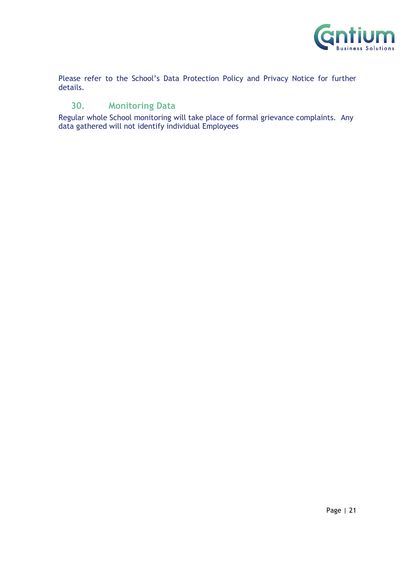

Please refer to the School's Data Protection Policy and Privacy Notice for further details.

# <span id="page-20-0"></span>**30. Monitoring Data**

Regular whole School monitoring will take place of formal grievance complaints. Any data gathered will not identify individual Employees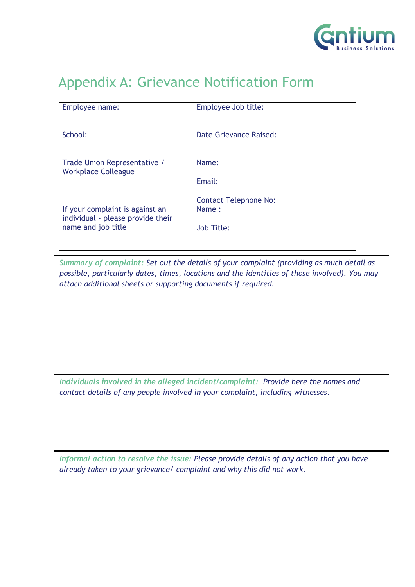

# <span id="page-21-0"></span>Appendix A: Grievance Notification Form

| Employee name:                                                       | Employee Job title:           |
|----------------------------------------------------------------------|-------------------------------|
| School:                                                              | <b>Date Grievance Raised:</b> |
| Trade Union Representative /<br><b>Workplace Colleague</b>           | Name:                         |
|                                                                      | Email:                        |
|                                                                      | <b>Contact Telephone No:</b>  |
| If your complaint is against an<br>individual - please provide their | Name:                         |
| name and job title                                                   | Job Title:                    |
|                                                                      |                               |

*Summary of complaint: Set out the details of your complaint (providing as much detail as possible, particularly dates, times, locations and the identities of those involved). You may attach additional sheets or supporting documents if required.*

*Individuals involved in the alleged incident/complaint: Provide here the names and contact details of any people involved in your complaint, including witnesses*.

*Informal action to resolve the issue: Please provide details of any action that you have already taken to your grievance/ complaint and why this did not work.*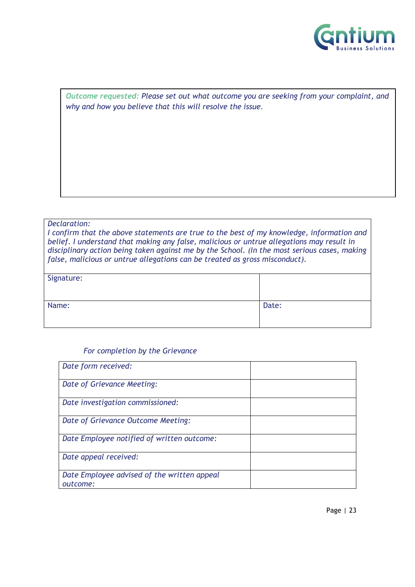

*Outcome requested: Please set out what outcome you are seeking from your complaint, and why and how you believe that this will resolve the issue*.

#### *Declaration:*

*I confirm that the above statements are true to the best of my knowledge, information and belief. I understand that making any false, malicious or untrue allegations may result in disciplinary action being taken against me by the School. (In the most serious cases, making false, malicious or untrue allegations can be treated as gross misconduct).*

| Signature: |       |
|------------|-------|
| Name:      | Date: |

#### *For completion by the Grievance*

| Date form received:                                     |  |
|---------------------------------------------------------|--|
| Date of Grievance Meeting:                              |  |
| Date investigation commissioned:                        |  |
| Date of Grievance Outcome Meeting:                      |  |
| Date Employee notified of written outcome:              |  |
| Date appeal received:                                   |  |
| Date Employee advised of the written appeal<br>outcome: |  |